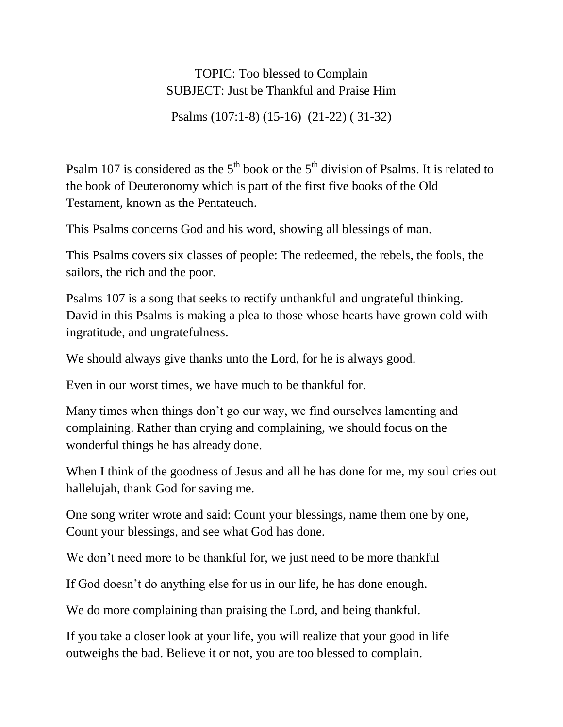## TOPIC: Too blessed to Complain SUBJECT: Just be Thankful and Praise Him

Psalms (107:1-8) (15-16) (21-22) ( 31-32)

Psalm 107 is considered as the  $5<sup>th</sup>$  book or the  $5<sup>th</sup>$  division of Psalms. It is related to the book of Deuteronomy which is part of the first five books of the Old Testament, known as the Pentateuch.

This Psalms concerns God and his word, showing all blessings of man.

This Psalms covers six classes of people: The redeemed, the rebels, the fools, the sailors, the rich and the poor.

Psalms 107 is a song that seeks to rectify unthankful and ungrateful thinking. David in this Psalms is making a plea to those whose hearts have grown cold with ingratitude, and ungratefulness.

We should always give thanks unto the Lord, for he is always good.

Even in our worst times, we have much to be thankful for.

Many times when things don't go our way, we find ourselves lamenting and complaining. Rather than crying and complaining, we should focus on the wonderful things he has already done.

When I think of the goodness of Jesus and all he has done for me, my soul cries out hallelujah, thank God for saving me.

One song writer wrote and said: Count your blessings, name them one by one, Count your blessings, and see what God has done.

We don't need more to be thankful for, we just need to be more thankful

If God doesn't do anything else for us in our life, he has done enough.

We do more complaining than praising the Lord, and being thankful.

If you take a closer look at your life, you will realize that your good in life outweighs the bad. Believe it or not, you are too blessed to complain.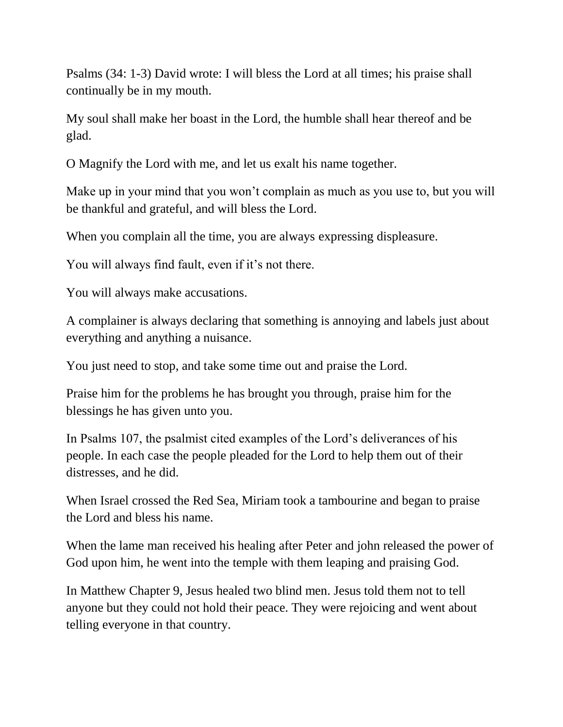Psalms (34: 1-3) David wrote: I will bless the Lord at all times; his praise shall continually be in my mouth.

My soul shall make her boast in the Lord, the humble shall hear thereof and be glad.

O Magnify the Lord with me, and let us exalt his name together.

Make up in your mind that you won't complain as much as you use to, but you will be thankful and grateful, and will bless the Lord.

When you complain all the time, you are always expressing displeasure.

You will always find fault, even if it's not there.

You will always make accusations.

A complainer is always declaring that something is annoying and labels just about everything and anything a nuisance.

You just need to stop, and take some time out and praise the Lord.

Praise him for the problems he has brought you through, praise him for the blessings he has given unto you.

In Psalms 107, the psalmist cited examples of the Lord's deliverances of his people. In each case the people pleaded for the Lord to help them out of their distresses, and he did.

When Israel crossed the Red Sea, Miriam took a tambourine and began to praise the Lord and bless his name.

When the lame man received his healing after Peter and john released the power of God upon him, he went into the temple with them leaping and praising God.

In Matthew Chapter 9, Jesus healed two blind men. Jesus told them not to tell anyone but they could not hold their peace. They were rejoicing and went about telling everyone in that country.